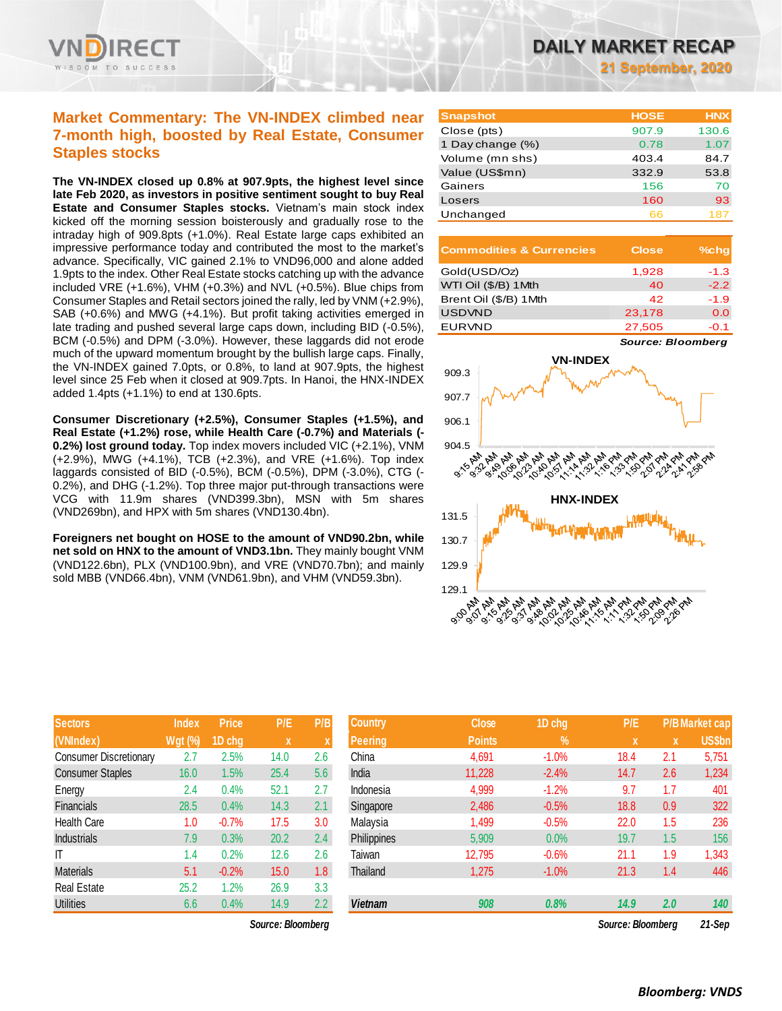

## **Market Commentary: The VN-INDEX climbed near 7-month high, boosted by Real Estate, Consumer Staples stocks**

**The VN-INDEX closed up 0.8% at 907.9pts, the highest level since late Feb 2020, as investors in positive sentiment sought to buy Real Estate and Consumer Staples stocks.** Vietnam's main stock index kicked off the morning session boisterously and gradually rose to the intraday high of 909.8pts (+1.0%). Real Estate large caps exhibited an impressive performance today and contributed the most to the market's advance. Specifically, VIC gained 2.1% to VND96,000 and alone added 1.9pts to the index. Other Real Estate stocks catching up with the advance included VRE (+1.6%), VHM (+0.3%) and NVL (+0.5%). Blue chips from Consumer Staples and Retail sectors joined the rally, led by VNM (+2.9%), SAB (+0.6%) and MWG (+4.1%). But profit taking activities emerged in late trading and pushed several large caps down, including BID (-0.5%), BCM (-0.5%) and DPM (-3.0%). However, these laggards did not erode much of the upward momentum brought by the bullish large caps. Finally, the VN-INDEX gained 7.0pts, or 0.8%, to land at 907.9pts, the highest level since 25 Feb when it closed at 909.7pts. In Hanoi, the HNX-INDEX added 1.4pts (+1.1%) to end at 130.6pts.

**Consumer Discretionary (+2.5%), Consumer Staples (+1.5%), and Real Estate (+1.2%) rose, while Health Care (-0.7%) and Materials (- 0.2%) lost ground today.** Top index movers included VIC (+2.1%), VNM (+2.9%), MWG (+4.1%), TCB (+2.3%), and VRE (+1.6%). Top index laggards consisted of BID (-0.5%), BCM (-0.5%), DPM (-3.0%), CTG (- 0.2%), and DHG (-1.2%). Top three major put-through transactions were VCG with 11.9m shares (VND399.3bn), MSN with 5m shares (VND269bn), and HPX with 5m shares (VND130.4bn).

**Foreigners net bought on HOSE to the amount of VND90.2bn, while net sold on HNX to the amount of VND3.1bn.** They mainly bought VNM (VND122.6bn), PLX (VND100.9bn), and VRE (VND70.7bn); and mainly sold MBB (VND66.4bn), VNM (VND61.9bn), and VHM (VND59.3bn).

| <b>Sectors</b>                | <b>Index</b>   | <b>Price</b> | P/E  | P/B |
|-------------------------------|----------------|--------------|------|-----|
| (VNIndex)                     | <b>Wgt (%)</b> | 1D chg       | X    | X   |
| <b>Consumer Discretionary</b> | 2.7            | 2.5%         | 14.0 | 2.6 |
| <b>Consumer Staples</b>       | 16.0           | 1.5%         | 25.4 | 5.6 |
| Energy                        | 2.4            | 0.4%         | 52.1 | 2.7 |
| <b>Financials</b>             | 28.5           | 0.4%         | 14.3 | 2.1 |
| <b>Health Care</b>            | 1.0            | $-0.7%$      | 17.5 | 3.0 |
| <b>Industrials</b>            | 7.9            | 0.3%         | 20.2 | 2.4 |
| ıτ                            | 1.4            | 0.2%         | 12.6 | 2.6 |
| <b>Materials</b>              | 5.1            | $-0.2%$      | 15.0 | 1.8 |
| <b>Real Estate</b>            | 25.2           | 1.2%         | 26.9 | 3.3 |
| <b>Utilities</b>              | 6.6            | 0.4%         | 14.9 | 2.2 |

*Source: Bloomberg Source: Bloomberg 21-Sep*

| <b>Snapshot</b>  | <b>HOSE</b> | <b>HNX</b> |
|------------------|-------------|------------|
| Close (pts)      | 907.9       | 130.6      |
| 1 Day change (%) | 0.78        | 1.07       |
| Volume (mn shs)  | 403.4       | 84.7       |
| Value (US\$mn)   | 332.9       | 53.8       |
| Gainers          | 156         | 70         |
| Losers           | 160         | 93         |
| Unchanged        | 66          | 187        |

| <b>Commodities &amp; Currencies</b> | <b>Close</b> | $%$ chq |
|-------------------------------------|--------------|---------|
| Gold(USD/Oz)                        | 1,928        | $-1.3$  |
| WTI Oil (\$/B) 1 Mth                | 40           | $-2.2$  |
| Brent Oil (\$/B) 1Mth               | 42           | $-1.9$  |
| <b>USDVND</b>                       | 23,178       | 0.0     |
| <b>EURVND</b>                       | 27.505       | $-0.1$  |

*Source: Bloomberg*



| <b>Sectors</b>          | <b>Index</b>   | <b>Price</b> | P/E                       | P/B | <b>Country</b> | <b>Close</b>  | 1D chg        | P/E               |     | <b>P/B Market cap</b> |
|-------------------------|----------------|--------------|---------------------------|-----|----------------|---------------|---------------|-------------------|-----|-----------------------|
| (VNIndex)               | <b>Wgt (%)</b> | 1D chg       | $\boldsymbol{\mathsf{x}}$ |     | <b>Peering</b> | <b>Points</b> | $\frac{9}{6}$ | $\mathbf{x}$      | X   | <b>US\$bn</b>         |
| Consumer Discretionary  | 2.7            | 2.5%         | 14.0                      | 2.6 | China          | 4,691         | $-1.0%$       | 18.4              | 2.1 | 5,751                 |
| <b>Consumer Staples</b> | 16.0           | 1.5%         | 25.4                      | 5.6 | India          | 11,228        | $-2.4%$       | 14.7              | 2.6 | 1,234                 |
| Energy                  | 2.4            | 0.4%         | 52.1                      | 2.7 | Indonesia      | 4,999         | $-1.2%$       | 9.7               | 1.7 | 401                   |
| Financials              | 28.5           | 0.4%         | 14.3                      | 2.1 | Singapore      | 2,486         | $-0.5%$       | 18.8              | 0.9 | 322                   |
| Health Care             | 1.0            | $-0.7%$      | 17.5                      | 3.0 | Malaysia       | 1,499         | $-0.5%$       | 22.0              | 1.5 | 236                   |
| <b>Industrials</b>      | 7.9            | 0.3%         | 20.2                      | 2.4 | Philippines    | 5,909         | 0.0%          | 19.7              | 1.5 | 156                   |
| ΙT                      | 1.4            | 0.2%         | 12.6                      | 2.6 | Taiwan         | 12,795        | $-0.6%$       | 21.1              | 1.9 | 1,343                 |
| <b>Materials</b>        | 5.1            | $-0.2%$      | 15.0                      | 1.8 | Thailand       | 1,275         | $-1.0%$       | 21.3              | 1.4 | 446                   |
| Real Estate             | 25.2           | .2%          | 26.9                      | 3.3 |                |               |               |                   |     |                       |
| <b>Utilities</b>        | 6.6            | 0.4%         | 14.9                      | 2.2 | <b>Vietnam</b> | 908           | 0.8%          | 14.9              | 2.0 | 140                   |
|                         |                |              | Source: Bloomberg         |     |                |               |               | Source: Bloombera |     | 21-Sep                |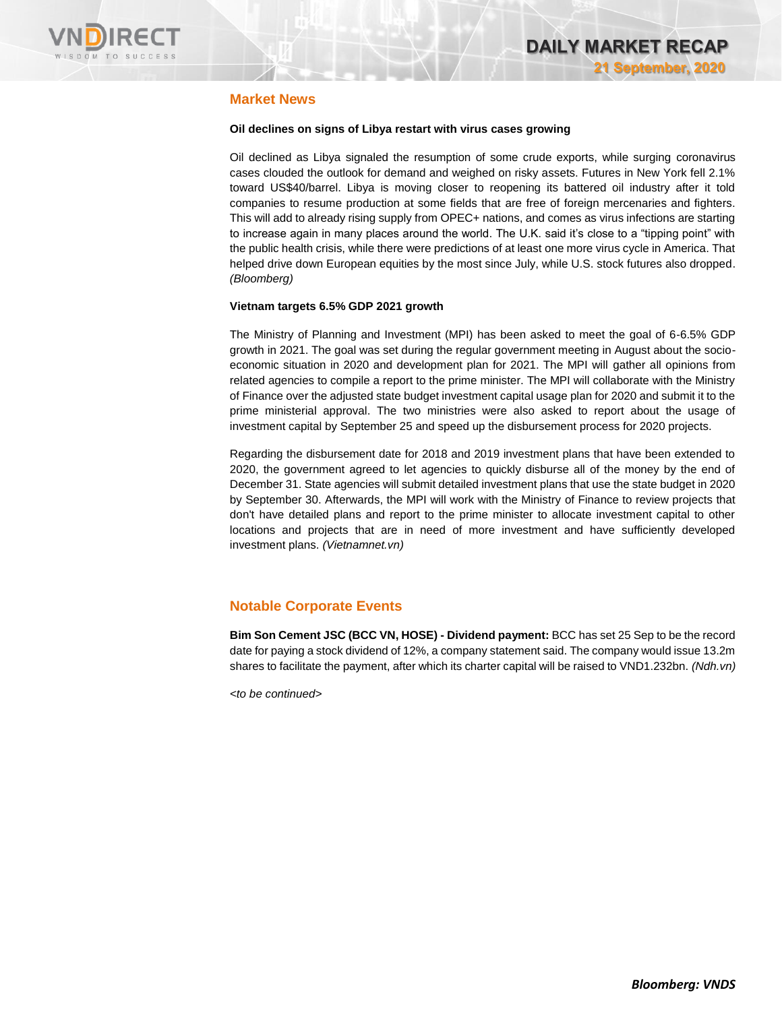

### **Market News**

#### **Oil declines on signs of Libya restart with virus cases growing**

Oil declined as Libya signaled the resumption of some crude exports, while surging coronavirus cases clouded the outlook for demand and weighed on risky assets. Futures in New York fell 2.1% toward US\$40/barrel. Libya is moving closer to reopening its battered oil industry after it told companies to resume production at some fields that are free of foreign mercenaries and fighters. This will add to already rising supply from OPEC+ nations, and comes as virus infections are starting to increase again in many places around the world. The U.K. said it's close to a "tipping point" with the public health crisis, while there were predictions of at least one more virus cycle in America. That helped drive down European equities by the most since July, while U.S. stock futures also dropped. *(Bloomberg)*

#### **Vietnam targets 6.5% GDP 2021 growth**

The Ministry of Planning and Investment (MPI) has been asked to meet the goal of 6-6.5% GDP growth in 2021. The goal was set during the regular government meeting in August about the socioeconomic situation in 2020 and development plan for 2021. The MPI will gather all opinions from related agencies to compile a report to the prime minister. The MPI will collaborate with the Ministry of Finance over the adjusted state budget investment capital usage plan for 2020 and submit it to the prime ministerial approval. The two ministries were also asked to report about the usage of investment capital by September 25 and speed up the disbursement process for 2020 projects.

Regarding the disbursement date for 2018 and 2019 investment plans that have been extended to 2020, the government agreed to let agencies to quickly disburse all of the money by the end of December 31. State agencies will submit detailed investment plans that use the state budget in 2020 by September 30. Afterwards, the MPI will work with the Ministry of Finance to review projects that don't have detailed plans and report to the prime minister to allocate investment capital to other locations and projects that are in need of more investment and have sufficiently developed investment plans. *(Vietnamnet.vn)*

### **Notable Corporate Events**

**Bim Son Cement JSC (BCC VN, HOSE) - Dividend payment:** BCC has set 25 Sep to be the record date for paying a stock dividend of 12%, a company statement said. The company would issue 13.2m shares to facilitate the payment, after which its charter capital will be raised to VND1.232bn. *(Ndh.vn)*

*<to be continued>*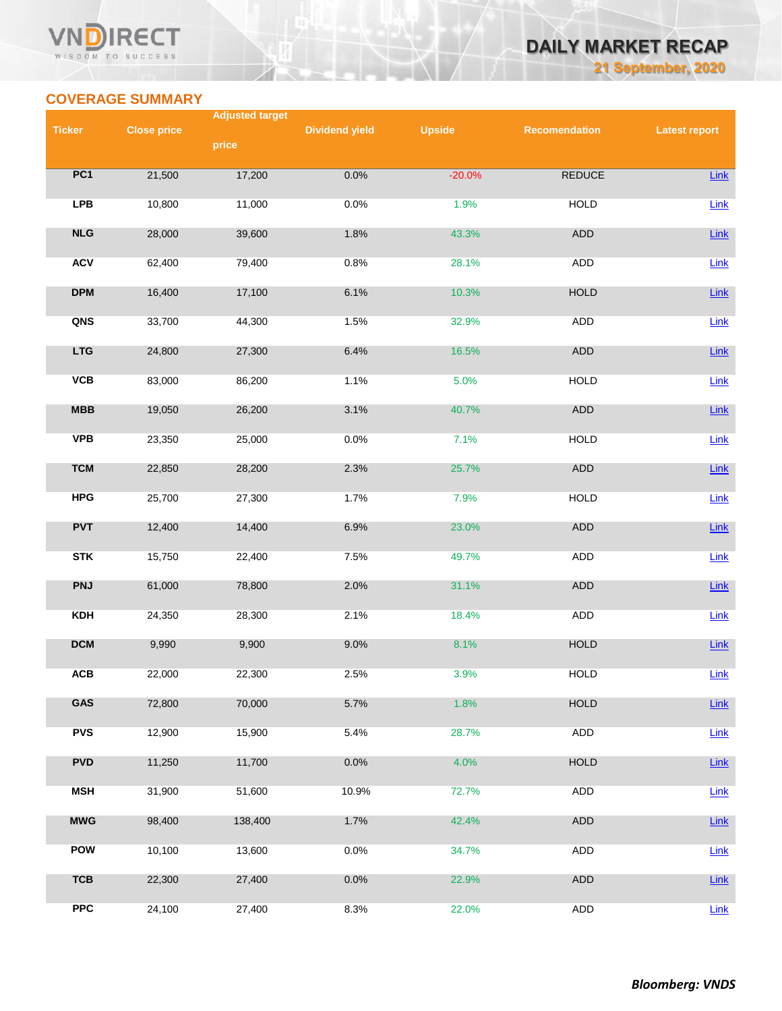#### VND **RECT** WISDOM TO SUCCESS

## *DAILY MARKET RECAP 21 September, 2020*

**COVERAGE SUMMARY**

|               |                    | <b>Adjusted target</b> |                       |               |                      |                      |
|---------------|--------------------|------------------------|-----------------------|---------------|----------------------|----------------------|
| <b>Ticker</b> | <b>Close price</b> | price                  | <b>Dividend yield</b> | <b>Upside</b> | <b>Recomendation</b> | <b>Latest report</b> |
|               |                    |                        |                       |               |                      |                      |
| PC1           | 21,500             | 17,200                 | 0.0%                  | $-20.0%$      | <b>REDUCE</b>        | Link                 |
| <b>LPB</b>    | 10,800             | 11,000                 | 0.0%                  | 1.9%          | <b>HOLD</b>          | Link                 |
| NLG           | 28,000             | 39,600                 | 1.8%                  | 43.3%         | ADD                  | Link                 |
| <b>ACV</b>    | 62,400             | 79,400                 | 0.8%                  | 28.1%         | <b>ADD</b>           | Link                 |
| <b>DPM</b>    | 16,400             | 17,100                 | 6.1%                  | 10.3%         | <b>HOLD</b>          | Link                 |
| QNS           | 33,700             | 44,300                 | 1.5%                  | 32.9%         | <b>ADD</b>           | $Link$               |
| <b>LTG</b>    | 24,800             | 27,300                 | 6.4%                  | 16.5%         | ADD                  | Link                 |
| VCB           | 83,000             | 86,200                 | 1.1%                  | 5.0%          | <b>HOLD</b>          | Link                 |
| <b>MBB</b>    | 19,050             | 26,200                 | 3.1%                  | 40.7%         | ADD                  | $Link$               |
| <b>VPB</b>    | 23,350             | 25,000                 | 0.0%                  | 7.1%          | <b>HOLD</b>          | Link                 |
| <b>TCM</b>    | 22,850             | 28,200                 | 2.3%                  | 25.7%         | ADD                  | Link                 |
| <b>HPG</b>    | 25,700             | 27,300                 | 1.7%                  | 7.9%          | <b>HOLD</b>          | Link                 |
| <b>PVT</b>    | 12,400             | 14,400                 | 6.9%                  | 23.0%         | ADD                  | Link                 |
| <b>STK</b>    | 15,750             | 22,400                 | 7.5%                  | 49.7%         | ADD                  | Link                 |
| <b>PNJ</b>    | 61,000             | 78,800                 | 2.0%                  | 31.1%         | ADD                  | Link                 |
| <b>KDH</b>    | 24,350             | 28,300                 | 2.1%                  | 18.4%         | <b>ADD</b>           | Link                 |
| <b>DCM</b>    | 9,990              | 9,900                  | 9.0%                  | 8.1%          | <b>HOLD</b>          | Link                 |
| ACB           | 22,000             | 22,300                 | 2.5%                  | 3.9%          | <b>HOLD</b>          | $Link$               |
| GAS           | 72,800             | 70,000                 | 5.7%                  | 1.8%          | <b>HOLD</b>          | Link                 |
| <b>PVS</b>    | 12,900             | 15,900                 | 5.4%                  | 28.7%         | ADD                  | Link                 |
| <b>PVD</b>    | 11,250             | 11,700                 | 0.0%                  | 4.0%          | <b>HOLD</b>          | $Link$               |
| <b>MSH</b>    | 31,900             | 51,600                 | 10.9%                 | 72.7%         | <b>ADD</b>           | Link                 |
| <b>MWG</b>    | 98,400             | 138,400                | 1.7%                  | 42.4%         | ADD                  | Link                 |
| <b>POW</b>    | 10,100             | 13,600                 | 0.0%                  | 34.7%         | ADD                  | Link                 |
| <b>TCB</b>    | 22,300             | 27,400                 | 0.0%                  | 22.9%         | ADD                  | $Link$               |
| <b>PPC</b>    | 24,100             | 27,400                 | 8.3%                  | 22.0%         | ADD                  | Link                 |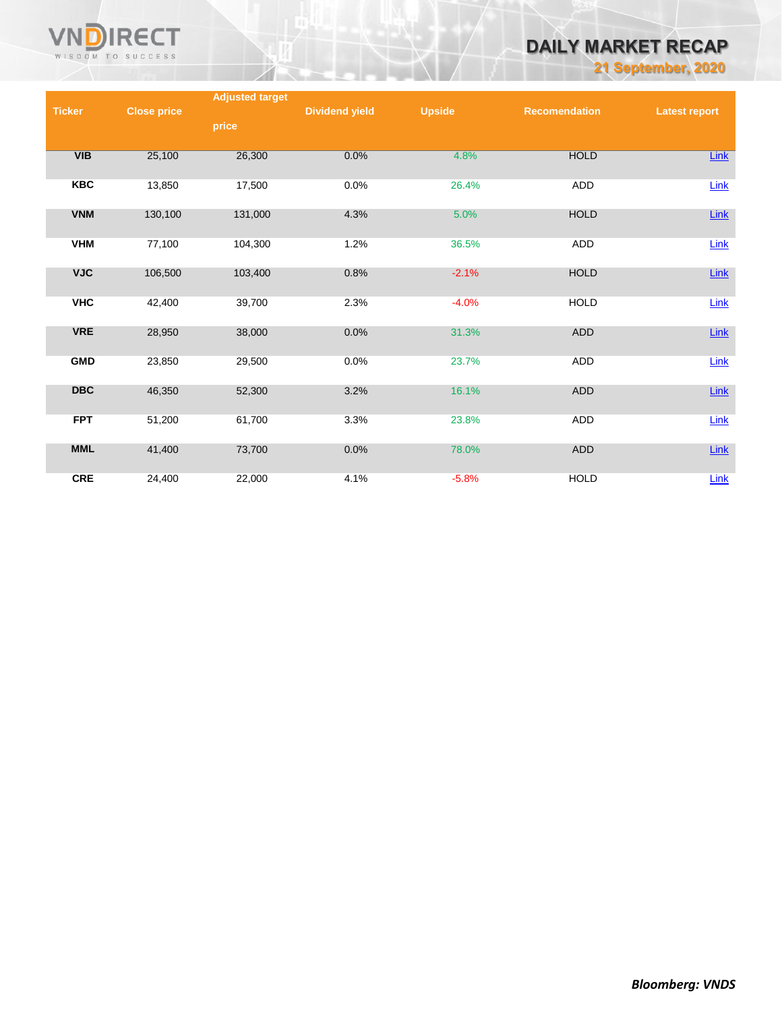

# *DAILY MARKET RECAP*

*21 September, 2020*

|               |                    | <b>Adjusted target</b> |                       |               |                      |                      |
|---------------|--------------------|------------------------|-----------------------|---------------|----------------------|----------------------|
| <b>Ticker</b> | <b>Close price</b> |                        | <b>Dividend yield</b> | <b>Upside</b> | <b>Recomendation</b> | <b>Latest report</b> |
|               |                    | price                  |                       |               |                      |                      |
|               |                    |                        |                       |               |                      |                      |
| VIB           | 25,100             | 26,300                 | 0.0%                  | 4.8%          | <b>HOLD</b>          | <b>Link</b>          |
|               |                    |                        |                       |               |                      |                      |
| <b>KBC</b>    | 13,850             | 17,500                 | 0.0%                  | 26.4%         | ADD                  | Link                 |
|               |                    |                        |                       |               |                      |                      |
| <b>VNM</b>    | 130,100            | 131,000                | 4.3%                  | 5.0%          | <b>HOLD</b>          | $Link$               |
|               |                    |                        |                       |               |                      |                      |
| <b>VHM</b>    | 77,100             | 104,300                | 1.2%                  | 36.5%         | ADD                  | Link                 |
|               |                    |                        |                       |               |                      |                      |
| <b>VJC</b>    | 106,500            | 103,400                | 0.8%                  | $-2.1%$       | <b>HOLD</b>          | $Link$               |
| <b>VHC</b>    | 42,400             | 39,700                 | 2.3%                  | $-4.0%$       | <b>HOLD</b>          |                      |
|               |                    |                        |                       |               |                      | Link                 |
| <b>VRE</b>    | 28,950             | 38,000                 | 0.0%                  | 31.3%         | <b>ADD</b>           | $Link$               |
|               |                    |                        |                       |               |                      |                      |
| <b>GMD</b>    | 23,850             | 29,500                 | 0.0%                  | 23.7%         | ADD                  | Link                 |
|               |                    |                        |                       |               |                      |                      |
| <b>DBC</b>    | 46,350             | 52,300                 | 3.2%                  | 16.1%         | ADD                  | Link                 |
|               |                    |                        |                       |               |                      |                      |
| <b>FPT</b>    | 51,200             | 61,700                 | 3.3%                  | 23.8%         | <b>ADD</b>           | Link                 |
|               |                    |                        |                       |               |                      |                      |
| <b>MML</b>    | 41,400             | 73,700                 | 0.0%                  | 78.0%         | <b>ADD</b>           | $Link$               |
|               |                    |                        |                       |               |                      |                      |
| <b>CRE</b>    | 24,400             | 22,000                 | 4.1%                  | $-5.8%$       | <b>HOLD</b>          | Link                 |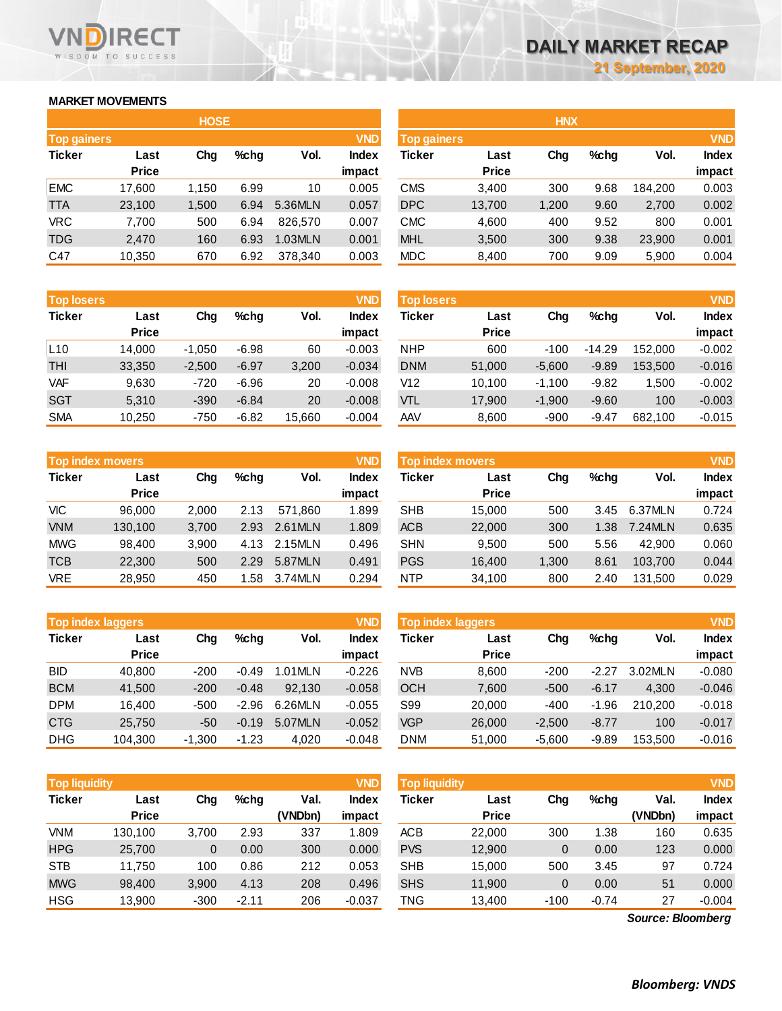### **MARKET MOVEMENTS**

WISDOM TO SUCCESS

**RECT** 

VND

|                    | <b>HOSE</b> |       |      |         |              |  |  |  |  |
|--------------------|-------------|-------|------|---------|--------------|--|--|--|--|
| <b>Top gainers</b> |             |       |      |         | <b>VND</b>   |  |  |  |  |
| <b>Ticker</b>      | Last        | Cha   | %chq | Vol.    | <b>Index</b> |  |  |  |  |
|                    | Price       |       |      |         | impact       |  |  |  |  |
| <b>EMC</b>         | 17,600      | 1,150 | 6.99 | 10      | 0.005        |  |  |  |  |
| <b>TTA</b>         | 23,100      | 1,500 | 6.94 | 5.36MLN | 0.057        |  |  |  |  |
| <b>VRC</b>         | 7,700       | 500   | 6.94 | 826.570 | 0.007        |  |  |  |  |
| <b>TDG</b>         | 2,470       | 160   | 6.93 | 1.03MLN | 0.001        |  |  |  |  |
| C47                | 10,350      | 670   | 6.92 | 378,340 | 0.003        |  |  |  |  |

| <b>Top losers</b> |              |          |         |        | <b>VND</b>   |  |
|-------------------|--------------|----------|---------|--------|--------------|--|
| <b>Ticker</b>     | Last         |          | %chq    | Vol.   | <b>Index</b> |  |
|                   | <b>Price</b> |          |         |        | impact       |  |
| L10               | 14,000       | $-1,050$ | $-6.98$ | 60     | $-0.003$     |  |
| <b>THI</b>        | 33,350       | $-2,500$ | $-6.97$ | 3,200  | $-0.034$     |  |
| <b>VAF</b>        | 9,630        | $-720$   | $-6.96$ | 20     | $-0.008$     |  |
| <b>SGT</b>        | 5.310        | $-390$   | $-6.84$ | 20     | $-0.008$     |  |
| <b>SMA</b>        | 10.250       | $-750$   | $-6.82$ | 15,660 | $-0.004$     |  |

|               | <b>Top index movers</b> |       |      |         |              |  |  |  |
|---------------|-------------------------|-------|------|---------|--------------|--|--|--|
| <b>Ticker</b> | Last                    | Cha   | %chq | Vol.    | <b>Index</b> |  |  |  |
|               | <b>Price</b>            |       |      |         | impact       |  |  |  |
| <b>VIC</b>    | 96,000                  | 2,000 | 2.13 | 571,860 | 1.899        |  |  |  |
| <b>VNM</b>    | 130,100                 | 3,700 | 2.93 | 2.61MLN | 1.809        |  |  |  |
| <b>MWG</b>    | 98,400                  | 3,900 | 4.13 | 2.15MLN | 0.496        |  |  |  |
| <b>TCB</b>    | 22,300                  | 500   | 2.29 | 5.87MLN | 0.491        |  |  |  |
| <b>VRE</b>    | 28,950                  | 450   | 1.58 | 3.74MLN | 0.294        |  |  |  |

|               | <b>Top index laggers</b> |          |         |         |              |  |  |  |
|---------------|--------------------------|----------|---------|---------|--------------|--|--|--|
| <b>Ticker</b> | Last                     | Cha      | %chq    | Vol.    | <b>Index</b> |  |  |  |
|               | <b>Price</b>             |          |         |         | impact       |  |  |  |
| <b>BID</b>    | 40,800                   | $-200$   | $-0.49$ | 1.01MLN | $-0.226$     |  |  |  |
| <b>BCM</b>    | 41,500                   | $-200$   | $-0.48$ | 92.130  | $-0.058$     |  |  |  |
| <b>DPM</b>    | 16,400                   | $-500$   | $-2.96$ | 6.26MLN | $-0.055$     |  |  |  |
| <b>CTG</b>    | 25,750                   | -50      | $-0.19$ | 5.07MLN | $-0.052$     |  |  |  |
| <b>DHG</b>    | 104,300                  | $-1,300$ | $-1.23$ | 4.020   | $-0.048$     |  |  |  |

| <b>VND</b><br><b>Top liquidity</b> |              |          |         |         |              |  |  |  |
|------------------------------------|--------------|----------|---------|---------|--------------|--|--|--|
| <b>Ticker</b>                      | Last         | Cha      | %chq    | Val.    | <b>Index</b> |  |  |  |
|                                    | <b>Price</b> |          |         | (VNDbn) | impact       |  |  |  |
| VNM                                | 130,100      | 3,700    | 2.93    | 337     | 1.809        |  |  |  |
| <b>HPG</b>                         | 25,700       | $\Omega$ | 0.00    | 300     | 0.000        |  |  |  |
| <b>STB</b>                         | 11,750       | 100      | 0.86    | 212     | 0.053        |  |  |  |
| <b>MWG</b>                         | 98,400       | 3,900    | 4.13    | 208     | 0.496        |  |  |  |
| <b>HSG</b>                         | 13.900       | $-300$   | $-2.11$ | 206     | $-0.037$     |  |  |  |

|                    |              | <b>HOSE</b> |         |         |              |                    |              | <b>HNX</b> |         |         |              |
|--------------------|--------------|-------------|---------|---------|--------------|--------------------|--------------|------------|---------|---------|--------------|
| <b>Top gainers</b> |              |             |         |         | <b>VND</b>   | <b>Top gainers</b> |              |            |         |         | <b>VND</b>   |
| Ticker             | Last         | Chg         | $%$ chg | Vol.    | <b>Index</b> | Ticker             | Last         | Chg        | $%$ chg | Vol.    | <b>Index</b> |
|                    | <b>Price</b> |             |         |         | impact       |                    | <b>Price</b> |            |         |         | impact       |
| EMC                | 17.600       | 1.150       | 6.99    | 10      | 0.005        | <b>CMS</b>         | 3,400        | 300        | 9.68    | 184.200 | 0.003        |
| TTA                | 23,100       | 1,500       | 6.94    | 5.36MLN | 0.057        | <b>DPC</b>         | 13,700       | 1,200      | 9.60    | 2,700   | 0.002        |
| VRC                | 7,700        | 500         | 6.94    | 826,570 | 0.007        | <b>CMC</b>         | 4,600        | 400        | 9.52    | 800     | 0.001        |
| <b>TDG</b>         | 2,470        | 160         | 6.93    | 1.03MLN | 0.001        | <b>MHL</b>         | 3,500        | 300        | 9.38    | 23,900  | 0.001        |
| C47                | 10,350       | 670         | 6.92    | 378,340 | 0.003        | <b>MDC</b>         | 8,400        | 700        | 9.09    | 5,900   | 0.004        |

|                      |          |         |        |                        |            |                      |                   |          |         | <b>VND</b>             |
|----------------------|----------|---------|--------|------------------------|------------|----------------------|-------------------|----------|---------|------------------------|
| Last<br><b>Price</b> | Chg      | $%$ chg | Vol.   | <b>Index</b><br>impact | Ticker     | Last<br><b>Price</b> | Chg               | $%$ chg  | Vol.    | <b>Index</b><br>impact |
| 14.000               | $-1,050$ | $-6.98$ | 60     | $-0.003$               | <b>NHP</b> | 600                  | $-100$            | $-14.29$ | 152.000 | $-0.002$               |
| 33,350               | $-2,500$ | $-6.97$ | 3,200  | $-0.034$               | <b>DNM</b> | 51,000               | $-5.600$          | $-9.89$  | 153.500 | $-0.016$               |
| 9,630                | $-720$   | $-6.96$ | 20     | $-0.008$               | V12        | 10,100               | $-1.100$          | $-9.82$  | 1.500   | $-0.002$               |
| 5,310                | $-390$   | $-6.84$ | 20     | $-0.008$               | VTL        | 17,900               | $-1,900$          | $-9.60$  | 100     | $-0.003$               |
| 10,250               | $-750$   | $-6.82$ | 15,660 | $-0.004$               | AAV        | 8,600                | $-900$            | $-9.47$  | 682,100 | $-0.015$               |
|                      |          |         |        |                        | <b>VND</b> |                      | <b>Top losers</b> |          |         |                        |

|            | <b>Top index movers</b> |       |         |         | <b>VND</b>             | <b>Top index movers</b> |                      |       |         |         | <b>VND</b>             |
|------------|-------------------------|-------|---------|---------|------------------------|-------------------------|----------------------|-------|---------|---------|------------------------|
| Ticker     | Last<br><b>Price</b>    | Chg   | $%$ chg | Vol.    | <b>Index</b><br>impact | Ticker                  | Last<br><b>Price</b> | Chg   | $%$ chg | Vol.    | <b>Index</b><br>impact |
| VIС        | 96.000                  | 2,000 | 2.13    | 571.860 | 1.899                  | <b>SHB</b>              | 15.000               | 500   | 3.45    | 6.37MLN | 0.724                  |
| <b>VNM</b> | 130.100                 | 3,700 | 2.93    | 2.61MLN | 1.809                  | <b>ACB</b>              | 22,000               | 300   | 1.38    | 7.24MLN | 0.635                  |
| MWG        | 98.400                  | 3,900 | 4.13    | 2.15MLN | 0.496                  | <b>SHN</b>              | 9.500                | 500   | 5.56    | 42.900  | 0.060                  |
| TCB        | 22,300                  | 500   | 2.29    | 5.87MLN | 0.491                  | <b>PGS</b>              | 16,400               | 1,300 | 8.61    | 103.700 | 0.044                  |
| <b>VRE</b> | 28,950                  | 450   | .58     | 3.74MLN | 0.294                  | <b>NTP</b>              | 34,100               | 800   | 2.40    | 131.500 | 0.029                  |

|            | <b>VND</b><br><b>Top index laggers</b> |          |         |         |          |            | Top index laggers |          |         |         |              |  |
|------------|----------------------------------------|----------|---------|---------|----------|------------|-------------------|----------|---------|---------|--------------|--|
| Ticker     | Last                                   | Chg      | $%$ chg | Vol.    | Index    | Ticker     | Last              | Chg      | $%$ chg | Vol.    | <b>Index</b> |  |
|            | <b>Price</b>                           |          |         |         | impact   |            | <b>Price</b>      |          |         |         | impact       |  |
| BID        | 40.800                                 | $-200$   | $-0.49$ | 1.01MLN | $-0.226$ | <b>NVB</b> | 8,600             | -200     | $-2.27$ | 3.02MLN | $-0.080$     |  |
| <b>BCM</b> | 41.500                                 | $-200$   | $-0.48$ | 92.130  | $-0.058$ | <b>OCH</b> | 7,600             | $-500$   | $-6.17$ | 4.300   | $-0.046$     |  |
| DPM        | 16.400                                 | $-500$   | $-2.96$ | 6.26MLN | $-0.055$ | S99        | 20,000            | $-400$   | $-1.96$ | 210.200 | $-0.018$     |  |
| CTG        | 25.750                                 | -50      | $-0.19$ | 5.07MLN | $-0.052$ | <b>VGP</b> | 26,000            | $-2.500$ | $-8.77$ | 100     | $-0.017$     |  |
| DHG        | 104.300                                | $-1,300$ | $-1.23$ | 4.020   | $-0.048$ | <b>DNM</b> | 51,000            | $-5,600$ | $-9.89$ | 153.500 | $-0.016$     |  |

| <b>Top liquidity</b> |                      |        |         |                 | <b>VND</b>      | <b>Top liquidity</b> |                      |        |         |                   | <b>VND</b>             |
|----------------------|----------------------|--------|---------|-----------------|-----------------|----------------------|----------------------|--------|---------|-------------------|------------------------|
| Ticker               | Last<br><b>Price</b> | Chg    | $%$ chg | Val.<br>(VNDbn) | Index<br>impact | Ticker               | Last<br><b>Price</b> | Chg    | $%$ chg | Val.<br>(VNDbn)   | <b>Index</b><br>impact |
|                      |                      |        |         |                 |                 |                      |                      |        |         |                   |                        |
| VNM                  | 130.100              | 3,700  | 2.93    | 337             | 1.809           | <b>ACB</b>           | 22,000               | 300    | 1.38    | 160               | 0.635                  |
| <b>HPG</b>           | 25,700               | 0      | 0.00    | 300             | 0.000           | <b>PVS</b>           | 12,900               | 0      | 0.00    | 123               | 0.000                  |
| <b>STB</b>           | 11.750               | 100    | 0.86    | 212             | 0.053           | <b>SHB</b>           | 15,000               | 500    | 3.45    | 97                | 0.724                  |
| <b>MWG</b>           | 98,400               | 3,900  | 4.13    | 208             | 0.496           | <b>SHS</b>           | 11,900               | 0      | 0.00    | 51                | 0.000                  |
| HSG                  | 13,900               | $-300$ | $-2.11$ | 206             | $-0.037$        | TNG                  | 13,400               | $-100$ | $-0.74$ | 27                | $-0.004$               |
|                      |                      |        |         |                 |                 |                      |                      |        |         | Source: Bloomberg |                        |

*Source: Bloomberg*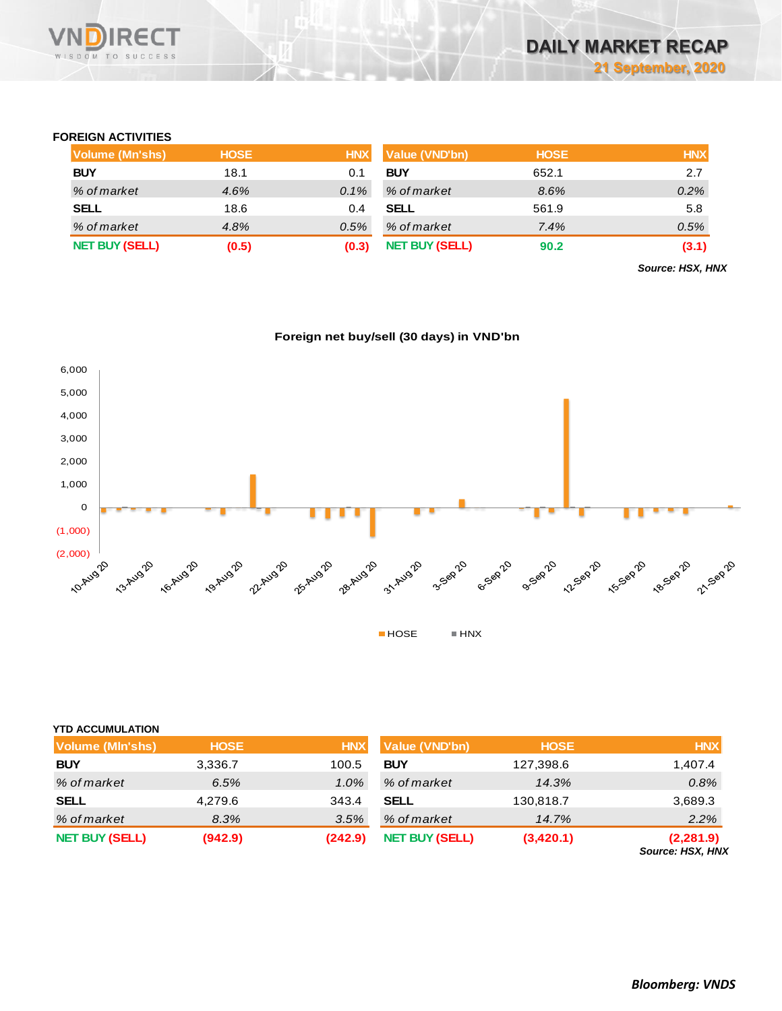

### **FOREIGN ACTIVITIES**

| Volume (Mn'shs)       | <b>HOSE</b> | <b>HNX</b> | Value (VND'bn)        | <b>HOSE</b> | <b>HNX</b> |
|-----------------------|-------------|------------|-----------------------|-------------|------------|
| <b>BUY</b>            | 18.1        | 0.1        | <b>BUY</b>            | 652.1       | 2.7        |
| % of market           | 4.6%        | $0.1\%$    | % of market           | 8.6%        | 0.2%       |
| <b>SELL</b>           | 18.6        | 0.4        | <b>SELL</b>           | 561.9       | 5.8        |
| % of market           | 4.8%        | 0.5%       | % of market           | 7.4%        | 0.5%       |
| <b>NET BUY (SELL)</b> | (0.5)       | (0.3)      | <b>NET BUY (SELL)</b> | 90.2        | (3.1)      |

*Source: HSX, HNX*





| <b>YTD ACCUMULATION</b> |             |            |                       |             |                                |
|-------------------------|-------------|------------|-----------------------|-------------|--------------------------------|
| Volume (MIn'shs)        | <b>HOSE</b> | <b>HNX</b> | <b>Value (VND'bn)</b> | <b>HOSE</b> | <b>HNX</b>                     |
| <b>BUY</b>              | 3,336.7     | 100.5      | <b>BUY</b>            | 127,398.6   | 1,407.4                        |
| % of market             | 6.5%        | 1.0%       | % of market           | 14.3%       | 0.8%                           |
| <b>SELL</b>             | 4,279.6     | 343.4      | <b>SELL</b>           | 130,818.7   | 3,689.3                        |
| % of market             | 8.3%        | 3.5%       | % of market           | 14.7%       | 2.2%                           |
| <b>NET BUY (SELL)</b>   | (942.9)     | (242.9)    | <b>NET BUY (SELL)</b> | (3,420.1)   | (2, 281.9)<br>Source: HSX, HNX |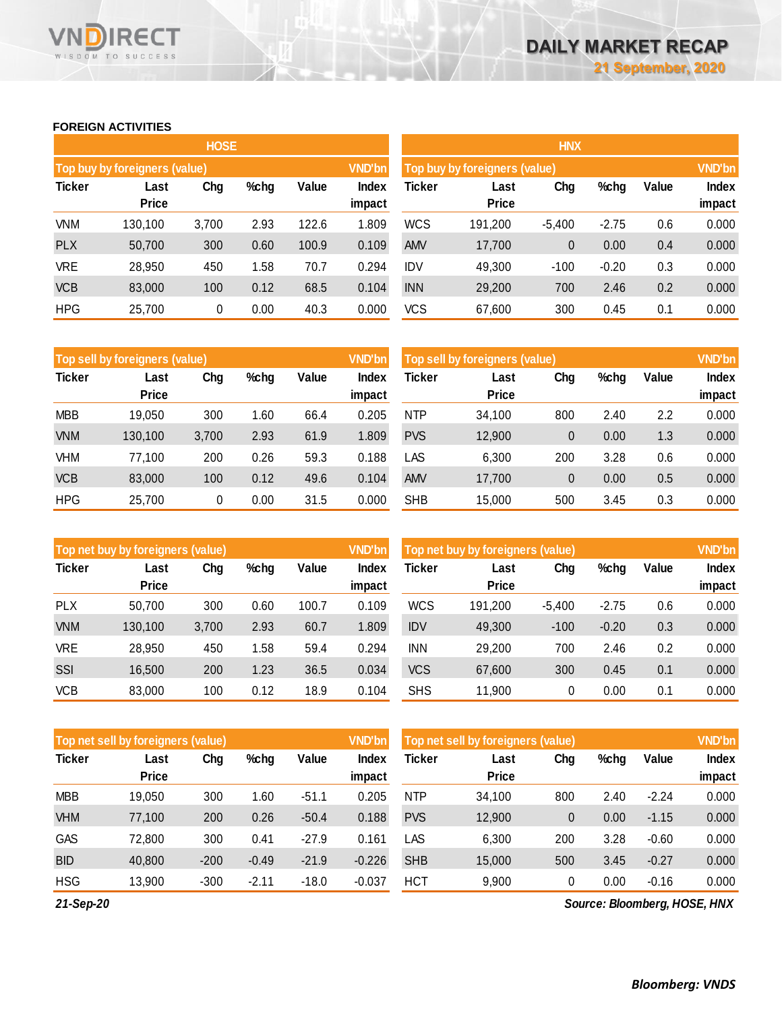### **FOREIGN ACTIVITIES**

WISDOM TO SUCCESS

**RECT** 

VND

|               |                               | <b>HOSE</b> |      |       |                        | <b>HNX</b>    |                               |          |         |       |                 |  |
|---------------|-------------------------------|-------------|------|-------|------------------------|---------------|-------------------------------|----------|---------|-------|-----------------|--|
|               | Top buy by foreigners (value) |             |      |       | <b>VND'bn</b>          |               | Top buy by foreigners (value) |          |         |       |                 |  |
| <b>Ticker</b> | Last<br><b>Price</b>          | Chg         | %chg | Value | <b>Index</b><br>impact | <b>Ticker</b> | Last<br><b>Price</b>          | Chg      | %chg    | Value | Index<br>impact |  |
| <b>VNM</b>    | 130,100                       | 3,700       | 2.93 | 122.6 | 1.809                  | <b>WCS</b>    | 191,200                       | $-5,400$ | $-2.75$ | 0.6   | 0.000           |  |
| <b>PLX</b>    | 50,700                        | 300         | 0.60 | 100.9 | 0.109                  | <b>AMV</b>    | 17,700                        | 0        | 0.00    | 0.4   | 0.000           |  |
| <b>VRE</b>    | 28,950                        | 450         | 1.58 | 70.7  | 0.294                  | <b>IDV</b>    | 49,300                        | $-100$   | $-0.20$ | 0.3   | 0.000           |  |
| <b>VCB</b>    | 83,000                        | 100         | 0.12 | 68.5  | 0.104                  | <b>INN</b>    | 29,200                        | 700      | 2.46    | 0.2   | 0.000           |  |
| <b>HPG</b>    | 25,700                        | 0           | 0.00 | 40.3  | 0.000                  | <b>VCS</b>    | 67,600                        | 300      | 0.45    | 0.1   | 0.000           |  |

|               | <b>VND'bn</b><br>Top sell by foreigners (value) |       |      |       |                 |            | Top sell by foreigners (value) |     |      |       |                        |
|---------------|-------------------------------------------------|-------|------|-------|-----------------|------------|--------------------------------|-----|------|-------|------------------------|
| <b>Ticker</b> | Last<br><b>Price</b>                            | Chg   | %chg | Value | Index<br>impact | Ticker     | Last<br><b>Price</b>           | Chg | %chg | Value | <b>Index</b><br>impact |
| <b>MBB</b>    | 19,050                                          | 300   | 1.60 | 66.4  | 0.205           | <b>NTP</b> | 34,100                         | 800 | 2.40 | 2.2   | 0.000                  |
| <b>VNM</b>    | 130,100                                         | 3,700 | 2.93 | 61.9  | 1.809           | <b>PVS</b> | 12,900                         | 0   | 0.00 | 1.3   | 0.000                  |
| VHM           | 77.100                                          | 200   | 0.26 | 59.3  | 0.188           | LAS        | 6,300                          | 200 | 3.28 | 0.6   | 0.000                  |
| <b>VCB</b>    | 83,000                                          | 100   | 0.12 | 49.6  | 0.104           | <b>AMV</b> | 17,700                         | 0   | 0.00 | 0.5   | 0.000                  |
| <b>HPG</b>    | 25,700                                          | 0     | 0.00 | 31.5  | 0.000           | <b>SHB</b> | 15,000                         | 500 | 3.45 | 0.3   | 0.000                  |

|               | Top net buy by foreigners (value) |       |      |       |                        | Top net buy by foreigners (value) |                      |          |         |       | <b>VND'bn</b>   |
|---------------|-----------------------------------|-------|------|-------|------------------------|-----------------------------------|----------------------|----------|---------|-------|-----------------|
| <b>Ticker</b> | Last<br><b>Price</b>              | Chg   | %chg | Value | <b>Index</b><br>impact | Ticker                            | Last<br><b>Price</b> | Chg      | %chg    | Value | Index<br>impact |
| <b>PLX</b>    | 50,700                            | 300   | 0.60 | 100.7 | 0.109                  | <b>WCS</b>                        | 191,200              | $-5.400$ | $-2.75$ | 0.6   | 0.000           |
|               |                                   |       |      |       |                        |                                   |                      |          |         |       |                 |
| <b>VNM</b>    | 130,100                           | 3,700 | 2.93 | 60.7  | 1.809                  | <b>IDV</b>                        | 49,300               | $-100$   | $-0.20$ | 0.3   | 0.000           |
| VRE           | 28,950                            | 450   | 1.58 | 59.4  | 0.294                  | <b>INN</b>                        | 29,200               | 700      | 2.46    | 0.2   | 0.000           |
| SSI           | 16.500                            | 200   | 1.23 | 36.5  | 0.034                  | <b>VCS</b>                        | 67,600               | 300      | 0.45    | 0.1   | 0.000           |
| <b>VCB</b>    | 83,000                            | 100   | 0.12 | 18.9  | 0.104                  | <b>SHS</b>                        | 11,900               | 0        | 0.00    | 0.1   | 0.000           |

|               | Top net sell by foreigners (value) |        |         |         |                        | <b>VND'bn</b><br>Top net sell by foreigners (value) |                      |     |      |         |                        |
|---------------|------------------------------------|--------|---------|---------|------------------------|-----------------------------------------------------|----------------------|-----|------|---------|------------------------|
| <b>Ticker</b> | Last<br><b>Price</b>               | Chg    | %chg    | Value   | <b>Index</b><br>impact | Ticker                                              | Last<br><b>Price</b> | Chg | %chg | Value   | <b>Index</b><br>impact |
| <b>MBB</b>    | 19,050                             | 300    | 1.60    | $-51.1$ | 0.205                  | <b>NTP</b>                                          | 34,100               | 800 | 2.40 | $-2.24$ | 0.000                  |
| <b>VHM</b>    | 77,100                             | 200    | 0.26    | $-50.4$ | 0.188                  | <b>PVS</b>                                          | 12,900               | 0   | 0.00 | $-1.15$ | 0.000                  |
| GAS           | 72,800                             | 300    | 0.41    | $-27.9$ | 0.161                  | LAS                                                 | 6,300                | 200 | 3.28 | $-0.60$ | 0.000                  |
| <b>BID</b>    | 40,800                             | $-200$ | $-0.49$ | $-21.9$ | $-0.226$               | <b>SHB</b>                                          | 15,000               | 500 | 3.45 | $-0.27$ | 0.000                  |
| <b>HSG</b>    | 13,900                             | $-300$ | $-2.11$ | $-18.0$ | $-0.037$               | <b>HCT</b>                                          | 9,900                | 0   | 0.00 | $-0.16$ | 0.000                  |

*21-Sep-20*

*Source: Bloomberg, HOSE, HNX*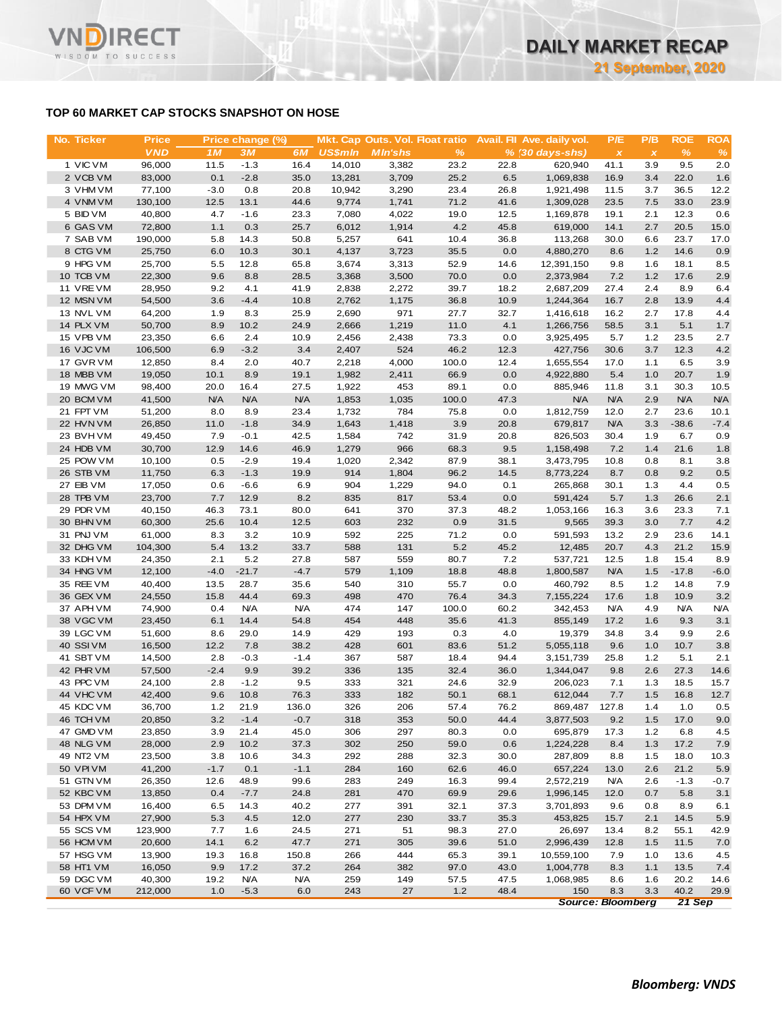### **TOP 60 MARKET CAP STOCKS SNAPSHOT ON HOSE**

| No. Ticker             | <b>Price</b>      |               | Price change (%) |              |                  |                | Mkt. Cap Outs. Vol. Float ratio |              | Avail. Fil Ave. daily vol. | P/E                       | P/B          | <b>ROE</b>      | <b>ROA</b>     |
|------------------------|-------------------|---------------|------------------|--------------|------------------|----------------|---------------------------------|--------------|----------------------------|---------------------------|--------------|-----------------|----------------|
|                        | <b>VND</b>        | 1M            | 3M               | 6M           | <b>US\$mln</b>   | <b>MIn'shs</b> | $\%$                            |              | $% (30 days-shs)$          | $\boldsymbol{\mathsf{x}}$ | $\pmb{\chi}$ | %               | %              |
| 1 VIC VM<br>2 VCB VM   | 96,000<br>83,000  | 11.5<br>0.1   | $-1.3$<br>$-2.8$ | 16.4<br>35.0 | 14,010<br>13,281 | 3,382          | 23.2<br>25.2                    | 22.8<br>6.5  | 620,940<br>1,069,838       | 41.1<br>16.9              | 3.9<br>3.4   | 9.5<br>22.0     | 2.0<br>1.6     |
| 3 VHM VM               | 77,100            | $-3.0$        | 0.8              | 20.8         | 10,942           | 3,709<br>3,290 | 23.4                            | 26.8         | 1,921,498                  | 11.5                      | 3.7          | 36.5            | 12.2           |
| 4 VNM VM               | 130,100           | 12.5          | 13.1             | 44.6         | 9,774            | 1,741          | 71.2                            | 41.6         | 1,309,028                  | 23.5                      | 7.5          | 33.0            | 23.9           |
| 5 BID VM               | 40,800            | 4.7           | $-1.6$           | 23.3         | 7,080            | 4,022          | 19.0                            | 12.5         | 1,169,878                  | 19.1                      | 2.1          | 12.3            | 0.6            |
| 6 GAS VM               | 72,800            | 1.1           | 0.3              | 25.7         | 6,012            | 1,914          | 4.2                             | 45.8         | 619,000                    | 14.1                      | 2.7          | 20.5            | 15.0           |
| 7 SAB VM               | 190,000           | 5.8           | 14.3             | 50.8         | 5,257            | 641            | 10.4                            | 36.8         | 113,268                    | 30.0                      | 6.6          | 23.7            | 17.0           |
| 8 CTG VM               | 25,750            | 6.0           | 10.3             | 30.1         | 4,137            | 3,723          | 35.5                            | 0.0          | 4,880,270                  | 8.6                       | 1.2          | 14.6            | 0.9            |
| 9 HPG VM               | 25,700            | 5.5           | 12.8             | 65.8         | 3,674            | 3,313          | 52.9                            | 14.6         | 12,391,150                 | 9.8                       | 1.6          | 18.1            | 8.5            |
| 10 TCB VM              | 22,300            | 9.6           | 8.8              | 28.5         | 3,368            | 3,500          | 70.0                            | 0.0          | 2,373,984                  | 7.2                       | 1.2          | 17.6            | 2.9            |
| 11 VREVM<br>12 MSN VM  | 28,950<br>54,500  | 9.2<br>3.6    | 4.1<br>$-4.4$    | 41.9<br>10.8 | 2,838<br>2,762   | 2,272<br>1,175 | 39.7<br>36.8                    | 18.2<br>10.9 | 2,687,209<br>1,244,364     | 27.4<br>16.7              | 2.4<br>2.8   | 8.9<br>13.9     | 6.4<br>4.4     |
| 13 NVL VM              | 64,200            | 1.9           | 8.3              | 25.9         | 2,690            | 971            | 27.7                            | 32.7         | 1,416,618                  | 16.2                      | 2.7          | 17.8            | 4.4            |
| 14 PLX VM              | 50,700            | 8.9           | 10.2             | 24.9         | 2,666            | 1,219          | 11.0                            | 4.1          | 1,266,756                  | 58.5                      | 3.1          | 5.1             | 1.7            |
| 15 VPB VM              | 23,350            | 6.6           | 2.4              | 10.9         | 2,456            | 2,438          | 73.3                            | 0.0          | 3,925,495                  | 5.7                       | 1.2          | 23.5            | 2.7            |
| 16 VJC VM              | 106,500           | 6.9           | $-3.2$           | 3.4          | 2,407            | 524            | 46.2                            | 12.3         | 427,756                    | 30.6                      | 3.7          | 12.3            | 4.2            |
| 17 GVR VM              | 12,850            | 8.4           | 2.0              | 40.7         | 2,218            | 4,000          | 100.0                           | 12.4         | 1,655,554                  | 17.0                      | 1.1          | 6.5             | 3.9            |
| 18 MBB VM              | 19,050            | 10.1          | 8.9              | 19.1         | 1,982            | 2,411          | 66.9                            | 0.0          | 4,922,880                  | 5.4                       | 1.0          | 20.7            | 1.9            |
| 19 MWG VM              | 98,400            | 20.0          | 16.4             | 27.5         | 1,922            | 453            | 89.1                            | 0.0          | 885,946                    | 11.8                      | 3.1          | 30.3            | 10.5           |
| 20 BCM VM              | 41,500            | <b>N/A</b>    | <b>N/A</b>       | <b>N/A</b>   | 1,853            | 1,035          | 100.0                           | 47.3         | <b>N/A</b>                 | <b>N/A</b>                | 2.9          | <b>N/A</b>      | <b>N/A</b>     |
| 21 FPT VM<br>22 HVN VM | 51,200<br>26,850  | 8.0<br>11.0   | 8.9<br>$-1.8$    | 23.4<br>34.9 | 1,732<br>1,643   | 784<br>1,418   | 75.8<br>3.9                     | 0.0<br>20.8  | 1,812,759<br>679,817       | 12.0<br><b>N/A</b>        | 2.7<br>3.3   | 23.6<br>$-38.6$ | 10.1<br>$-7.4$ |
| 23 BVHVM               | 49,450            | 7.9           | $-0.1$           | 42.5         | 1,584            | 742            | 31.9                            | 20.8         | 826,503                    | 30.4                      | 1.9          | 6.7             | 0.9            |
| 24 HDB VM              | 30,700            | 12.9          | 14.6             | 46.9         | 1,279            | 966            | 68.3                            | 9.5          | 1,158,498                  | 7.2                       | 1.4          | 21.6            | 1.8            |
| 25 POW VM              | 10,100            | 0.5           | $-2.9$           | 19.4         | 1,020            | 2,342          | 87.9                            | 38.1         | 3,473,795                  | 10.8                      | 0.8          | 8.1             | 3.8            |
| 26 STB VM              | 11,750            | 6.3           | $-1.3$           | 19.9         | 914              | 1,804          | 96.2                            | 14.5         | 8,773,224                  | 8.7                       | 0.8          | 9.2             | 0.5            |
| 27 EIB VM              | 17,050            | 0.6           | $-6.6$           | 6.9          | 904              | 1,229          | 94.0                            | 0.1          | 265,868                    | 30.1                      | 1.3          | 4.4             | 0.5            |
| 28 TPB VM              | 23,700            | 7.7           | 12.9             | 8.2          | 835              | 817            | 53.4                            | 0.0          | 591,424                    | 5.7                       | 1.3          | 26.6            | 2.1            |
| 29 PDR VM              | 40,150            | 46.3          | 73.1             | 80.0         | 641              | 370            | 37.3                            | 48.2         | 1,053,166                  | 16.3                      | 3.6          | 23.3            | 7.1            |
| 30 BHN VM              | 60,300            | 25.6          | 10.4             | 12.5         | 603              | 232            | 0.9                             | 31.5         | 9,565                      | 39.3                      | 3.0          | 7.7             | 4.2            |
| 31 PNJ VM<br>32 DHG VM | 61,000<br>104,300 | 8.3<br>5.4    | 3.2<br>13.2      | 10.9<br>33.7 | 592<br>588       | 225<br>131     | 71.2<br>5.2                     | 0.0<br>45.2  | 591,593<br>12,485          | 13.2<br>20.7              | 2.9<br>4.3   | 23.6<br>21.2    | 14.1<br>15.9   |
| 33 KDH VM              | 24,350            | 2.1           | 5.2              | 27.8         | 587              | 559            | 80.7                            | 7.2          | 537,721                    | 12.5                      | 1.8          | 15.4            | 8.9            |
| 34 HNG VM              | 12,100            | $-4.0$        | $-21.7$          | $-4.7$       | 579              | 1,109          | 18.8                            | 48.8         | 1,800,587                  | <b>N/A</b>                | 1.5          | $-17.8$         | $-6.0$         |
| 35 REE VM              | 40,400            | 13.5          | 28.7             | 35.6         | 540              | 310            | 55.7                            | 0.0          | 460,792                    | 8.5                       | 1.2          | 14.8            | 7.9            |
| 36 GEX VM              | 24,550            | 15.8          | 44.4             | 69.3         | 498              | 470            | 76.4                            | 34.3         | 7,155,224                  | 17.6                      | 1.8          | 10.9            | 3.2            |
| 37 APH VM              | 74,900            | 0.4           | <b>N/A</b>       | <b>N/A</b>   | 474              | 147            | 100.0                           | 60.2         | 342,453                    | <b>N/A</b>                | 4.9          | <b>N/A</b>      | <b>N/A</b>     |
| 38 VGC VM              | 23,450            | 6.1           | 14.4             | 54.8         | 454              | 448            | 35.6                            | 41.3         | 855,149                    | 17.2                      | 1.6          | 9.3             | 3.1            |
| 39 LGC VM              | 51,600            | 8.6           | 29.0             | 14.9         | 429              | 193            | 0.3                             | 4.0          | 19,379                     | 34.8                      | 3.4          | 9.9             | 2.6            |
| 40 SSIVM               | 16,500            | 12.2          | 7.8              | 38.2         | 428              | 601            | 83.6                            | 51.2         | 5,055,118                  | 9.6                       | 1.0          | 10.7            | 3.8            |
| 41 SBT VM              | 14,500            | 2.8           | $-0.3$           | $-1.4$       | 367              | 587            | 18.4                            | 94.4         | 3,151,739                  | 25.8                      | 1.2          | 5.1             | 2.1            |
| 42 PHR VM<br>43 PPC VM | 57,500<br>24,100  | $-2.4$<br>2.8 | 9.9<br>$-1.2$    | 39.2<br>9.5  | 336<br>333       | 135<br>321     | 32.4<br>24.6                    | 36.0<br>32.9 | 1,344,047<br>206,023       | 9.8<br>7.1                | 2.6<br>1.3   | 27.3<br>18.5    | 14.6<br>15.7   |
| 44 VHC VM              | 42,400            | 9.6           | 10.8             | 76.3         | 333              | 182            | 50.1                            | 68.1         | 612,044                    | 7.7                       | 1.5          | 16.8            | 12.7           |
| 45 KDC VM              | 36,700            | $1.2$         | 21.9             | 136.0        | 326              | 206            | 57.4                            | 76.2         | 869,487                    | 127.8                     | 1.4          | 1.0             | 0.5            |
| 46 TCH VM              | 20,850            | 3.2           | $-1.4$           | $-0.7$       | 318              | 353            | 50.0                            | 44.4         | 3,877,503                  | 9.2                       | 1.5          | 17.0            | 9.0            |
| 47 GMD VM              | 23,850            | 3.9           | 21.4             | 45.0         | 306              | 297            | 80.3                            | 0.0          | 695,879                    | 17.3                      | 1.2          | 6.8             | 4.5            |
| 48 NLG VM              | 28,000            | 2.9           | 10.2             | 37.3         | 302              | 250            | 59.0                            | 0.6          | 1,224,228                  | 8.4                       | 1.3          | 17.2            | 7.9            |
| 49 NT2 VM              | 23,500            | 3.8           | 10.6             | 34.3         | 292              | 288            | 32.3                            | 30.0         | 287,809                    | 8.8                       | 1.5          | 18.0            | 10.3           |
| 50 VPI VM              | 41,200            | $-1.7$        | 0.1              | $-1.1$       | 284              | 160            | 62.6                            | 46.0         | 657,224                    | 13.0                      | 2.6          | 21.2            | 5.9            |
| 51 GTN VM              | 26,350            | 12.6          | 48.9             | 99.6         | 283              | 249            | 16.3                            | 99.4         | 2,572,219                  | <b>N/A</b>                | 2.6          | $-1.3$          | $-0.7$         |
| 52 KBC VM              | 13,850            | 0.4           | $-7.7$           | 24.8         | 281              | 470            | 69.9                            | 29.6         | 1,996,145                  | 12.0                      | 0.7          | 5.8             | 3.1            |
| 53 DPM VM<br>54 HPX VM | 16,400<br>27,900  | 6.5<br>5.3    | 14.3<br>4.5      | 40.2<br>12.0 | 277<br>277       | 391<br>230     | 32.1<br>33.7                    | 37.3<br>35.3 | 3,701,893<br>453,825       | 9.6<br>15.7               | 0.8<br>2.1   | 8.9<br>14.5     | 6.1<br>5.9     |
| 55 SCS VM              | 123,900           | 7.7           | 1.6              | 24.5         | 271              | 51             | 98.3                            | 27.0         | 26,697                     | 13.4                      | 8.2          | 55.1            | 42.9           |
| 56 HCM VM              | 20,600            | 14.1          | 6.2              | 47.7         | 271              | 305            | 39.6                            | 51.0         | 2,996,439                  | 12.8                      | 1.5          | 11.5            | 7.0            |
| 57 HSG VM              | 13,900            | 19.3          | 16.8             | 150.8        | 266              | 444            | 65.3                            | 39.1         | 10,559,100                 | 7.9                       | 1.0          | 13.6            | 4.5            |
| 58 HT1 VM              | 16,050            | 9.9           | 17.2             | 37.2         | 264              | 382            | 97.0                            | 43.0         | 1,004,778                  | 8.3                       | 1.1          | 13.5            | 7.4            |
| 59 DGC VM              | 40,300            | 19.2          | <b>N/A</b>       | <b>N/A</b>   | 259              | 149            | 57.5                            | 47.5         | 1,068,985                  | 8.6                       | 1.6          | 20.2            | 14.6           |
| 60 VCF VM              | 212,000           | 1.0           | $-5.3$           | 6.0          | 243              | 27             | 1.2                             | 48.4         | 150                        | 8.3                       | 3.3          | 40.2            | 29.9           |